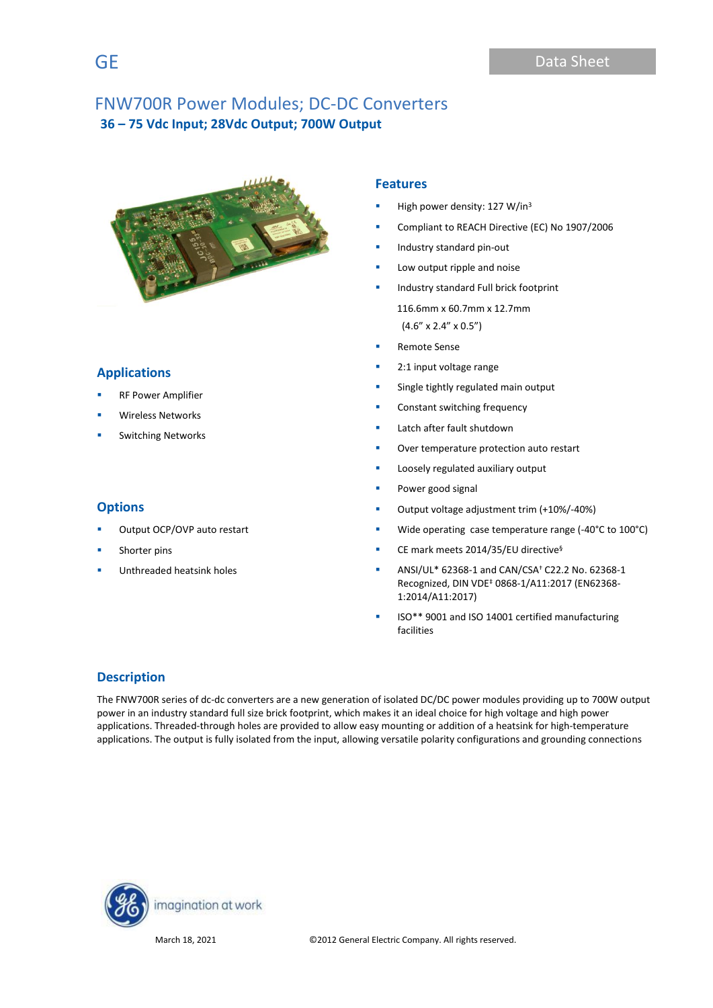

# **Applications**

- **RF Power Amplifier**
- Wireless Networks
- **Switching Networks**

# **Options**

- Output OCP/OVP auto restart
- Shorter pins
- Unthreaded heatsink holes

## **Features**

- High power density: 127 W/in<sup>3</sup>
- Compliant to REACH Directive (EC) No 1907/2006
- Industry standard pin-out
- Low output ripple and noise
- **■** Industry standard Full brick footprint 116.6mm x 60.7mm x 12.7mm (4.6" x 2.4" x 0.5")
- Remote Sense
- 2:1 input voltage range
- Single tightly regulated main output
- Constant switching frequency
- Latch after fault shutdown
- Over temperature protection auto restart
- Loosely regulated auxiliary output
- Power good signal
- Output voltage adjustment trim (+10%/-40%)
- Wide operating case temperature range (-40°C to 100°C)
- CE mark meets 2014/35/EU directive<sup>§</sup>
- ANSI/UL\* 62368-1 and CAN/CSA† C22.2 No. 62368-1 Recognized, DIN VDE‡ 0868-1/A11:2017 (EN62368- 1:2014/A11:2017)
- ISO\*\* 9001 and ISO 14001 certified manufacturing facilities

# **Description**

The FNW700R series of dc-dc converters are a new generation of isolated DC/DC power modules providing up to 700W output power in an industry standard full size brick footprint, which makes it an ideal choice for high voltage and high power applications. Threaded-through holes are provided to allow easy mounting or addition of a heatsink for high-temperature applications. The output is fully isolated from the input, allowing versatile polarity configurations and grounding connections

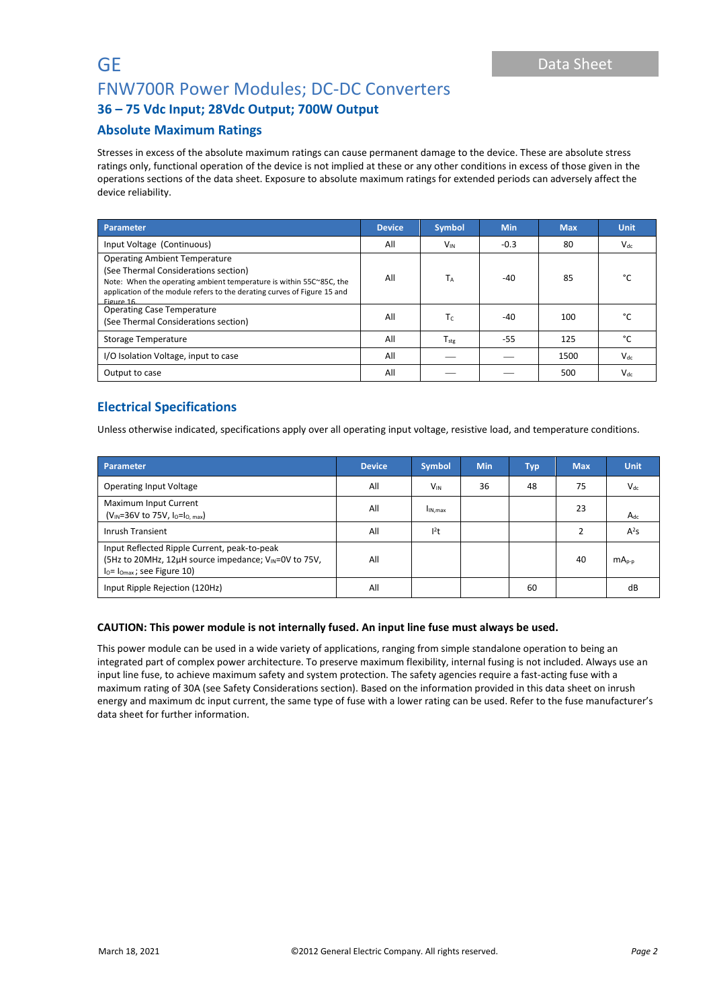# **GE** Data Sheet FNW700R Power Modules; DC-DC Converters

# **36 – 75 Vdc Input; 28Vdc Output; 700W Output**

# **Absolute Maximum Ratings**

Stresses in excess of the absolute maximum ratings can cause permanent damage to the device. These are absolute stress ratings only, functional operation of the device is not implied at these or any other conditions in excess of those given in the operations sections of the data sheet. Exposure to absolute maximum ratings for extended periods can adversely affect the device reliability.

| <b>Parameter</b>                                                                                                                                                                                                                             | <b>Device</b> | <b>Symbol</b>         | <b>Min</b> | <b>Max</b> | <b>Unit</b>   |
|----------------------------------------------------------------------------------------------------------------------------------------------------------------------------------------------------------------------------------------------|---------------|-----------------------|------------|------------|---------------|
| Input Voltage (Continuous)                                                                                                                                                                                                                   | All           | <b>V<sub>IN</sub></b> | $-0.3$     | 80         | $V_{dc}$      |
| <b>Operating Ambient Temperature</b><br>(See Thermal Considerations section)<br>Note: When the operating ambient temperature is within 55C~85C, the<br>application of the module refers to the derating curves of Figure 15 and<br>Figure 16 | All           | Тд                    | $-40$      | 85         | $\sim$        |
| <b>Operating Case Temperature</b><br>(See Thermal Considerations section)                                                                                                                                                                    | All           | Tc.                   | $-40$      | 100        |               |
| Storage Temperature                                                                                                                                                                                                                          | All           | $T_{\rm stg}$         | $-55$      | 125        | $\mathcal{C}$ |
| I/O Isolation Voltage, input to case                                                                                                                                                                                                         | All           |                       |            | 1500       | $V_{dc}$      |
| Output to case                                                                                                                                                                                                                               | All           |                       |            | 500        | $V_{dc}$      |

# **Electrical Specifications**

Unless otherwise indicated, specifications apply over all operating input voltage, resistive load, and temperature conditions.

| Parameter                                                                                                                                         | <b>Device</b> | <b>Symbol</b>       | <b>Min</b> | <b>Typ</b> | <b>Max</b> | <b>Unit</b> |
|---------------------------------------------------------------------------------------------------------------------------------------------------|---------------|---------------------|------------|------------|------------|-------------|
| <b>Operating Input Voltage</b>                                                                                                                    | All           | $V_{IN}$            | 36         | 48         | 75         | $V_{dc}$    |
| Maximum Input Current<br>$(V_{IN} = 36V$ to 75V, $I_0 = I_0$ , $_{max}$ )                                                                         | All           | I <sub>IN.max</sub> |            |            | 23         | $A_{dc}$    |
| Inrush Transient                                                                                                                                  | All           | l <sup>2</sup> t    |            |            |            | $A^2S$      |
| Input Reflected Ripple Current, peak-to-peak<br>(5Hz to 20MHz, 12µH source impedance; V <sub>IN</sub> =0V to 75V,<br>$IO= IOmax$ ; see Figure 10) | All           |                     |            |            | 40         | $mAp-p$     |
| Input Ripple Rejection (120Hz)                                                                                                                    | All           |                     |            | 60         |            | dB          |

## **CAUTION: This power module is not internally fused. An input line fuse must always be used.**

This power module can be used in a wide variety of applications, ranging from simple standalone operation to being an integrated part of complex power architecture. To preserve maximum flexibility, internal fusing is not included. Always use an input line fuse, to achieve maximum safety and system protection. The safety agencies require a fast-acting fuse with a maximum rating of 30A (see Safety Considerations section). Based on the information provided in this data sheet on inrush energy and maximum dc input current, the same type of fuse with a lower rating can be used. Refer to the fuse manufacturer's data sheet for further information.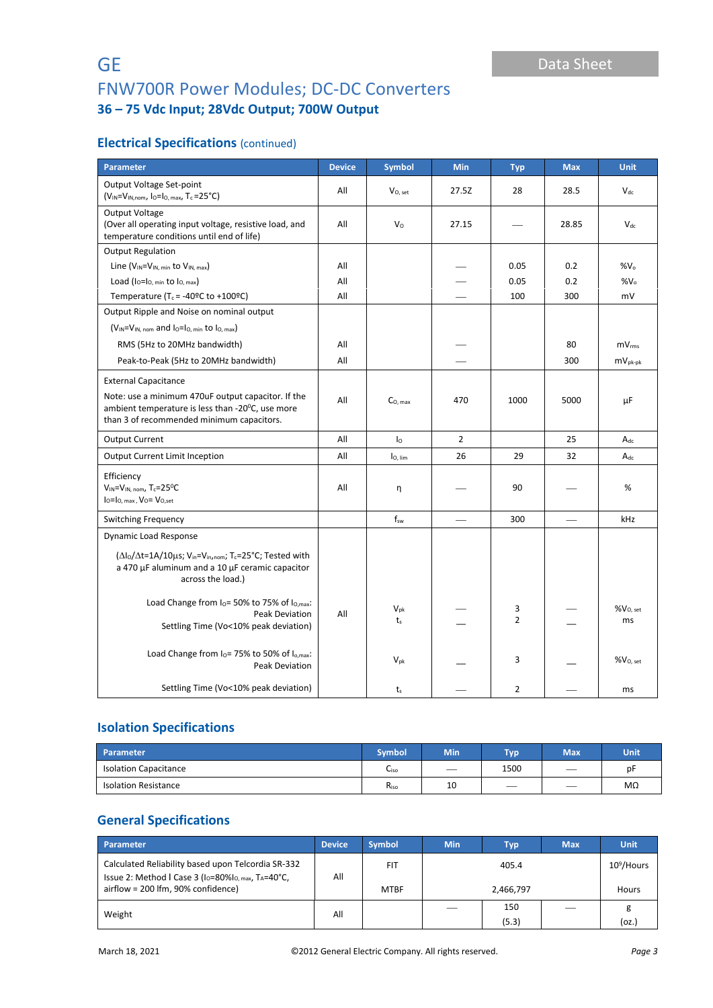# **Electrical Specifications** (continued)

| <b>Parameter</b>                                                                                                                                                  | <b>Device</b> | <b>Symbol</b>       | <b>Min</b>               | <b>Typ</b>          | <b>Max</b> | <b>Unit</b>                |
|-------------------------------------------------------------------------------------------------------------------------------------------------------------------|---------------|---------------------|--------------------------|---------------------|------------|----------------------------|
| Output Voltage Set-point<br>$(V_{IN} = V_{IN,nom}$ , lo=lo, max, Tc = 25°C)                                                                                       | All           | $V0$ , set          | 27.5Z                    | 28                  | 28.5       | $V_{dc}$                   |
| Output Voltage<br>(Over all operating input voltage, resistive load, and<br>temperature conditions until end of life)                                             | All           | $V_{\rm O}$         | 27.15                    |                     | 28.85      | $V_{dc}$                   |
| <b>Output Regulation</b>                                                                                                                                          |               |                     |                          |                     |            |                            |
| Line $(V_{IN} = V_{IN, min}$ to $V_{IN, max}$ )                                                                                                                   | All           |                     |                          | 0.05                | 0.2        | $%V_{0}$                   |
| Load $(I_0=I_0_{min}$ to $I_0_{max}$ )                                                                                                                            | All           |                     |                          | 0.05                | 0.2        | %V <sub>o</sub>            |
| Temperature (T <sub>c</sub> = -40°C to +100°C)                                                                                                                    | All           |                     |                          | 100                 | 300        | mV                         |
| Output Ripple and Noise on nominal output                                                                                                                         |               |                     |                          |                     |            |                            |
| $(V_{IN} = V_{IN, nom}$ and $I_0 = I_0$ , min to $I_0$ , max)                                                                                                     |               |                     |                          |                     |            |                            |
| RMS (5Hz to 20MHz bandwidth)                                                                                                                                      | All           |                     |                          |                     | 80         | mV <sub>rms</sub>          |
| Peak-to-Peak (5Hz to 20MHz bandwidth)                                                                                                                             | All           |                     |                          |                     | 300        | $mv_{pk-pk}$               |
| <b>External Capacitance</b>                                                                                                                                       |               |                     |                          |                     |            |                            |
| Note: use a minimum 470uF output capacitor. If the<br>ambient temperature is less than -20°C, use more<br>than 3 of recommended minimum capacitors.               | All           | $CO$ max            | 470                      | 1000                | 5000       | μF                         |
| <b>Output Current</b>                                                                                                                                             | All           | Ιo                  | 2                        |                     | 25         | $A_{dc}$                   |
| <b>Output Current Limit Inception</b>                                                                                                                             | All           | lo, lim             | 26                       | 29                  | 32         | $A_{dc}$                   |
| Efficiency<br>$V_{IN} = V_{IN. nom}$ , T <sub>c</sub> =25 <sup>o</sup> C<br>$I_0 = I_0$ , max, $V_0 = V_0$ , set                                                  | All           | η                   |                          | 90                  |            | %                          |
| <b>Switching Frequency</b>                                                                                                                                        |               | $f_{sw}$            | $\overline{\phantom{0}}$ | 300                 |            | kHz                        |
| <b>Dynamic Load Response</b>                                                                                                                                      |               |                     |                          |                     |            |                            |
| (Δlo/Δt=1A/10μs; V <sub>in</sub> =V <sub>in,nom</sub> ; T <sub>c</sub> =25°C; Tested with<br>a 470 µF aluminum and a 10 µF ceramic capacitor<br>across the load.) |               |                     |                          |                     |            |                            |
| Load Change from $I0 = 50%$ to 75% of $I0,max$ :<br>Peak Deviation<br>Settling Time (Vo<10% peak deviation)                                                       | All           | $V_{pk}$<br>$t_{s}$ |                          | 3<br>$\overline{2}$ |            | %V <sub>O, set</sub><br>ms |
| Load Change from I <sub>0</sub> =75% to 50% of I <sub>o.max</sub> :<br>Peak Deviation                                                                             |               | $V_{pk}$            |                          | 3                   |            | $\%V_{O, set}$             |
| Settling Time (Vo<10% peak deviation)                                                                                                                             |               | $t_{s}$             |                          | $\overline{2}$      |            | ms                         |

# **Isolation Specifications**

| <b>Parameter</b>             | <b>Symbol</b>    | <b>Min</b> | Typ <sup>1</sup> | <b>Max</b>               | <b>Unit</b> |
|------------------------------|------------------|------------|------------------|--------------------------|-------------|
| <b>Isolation Capacitance</b> | ∪iso             | __         | 1500             | __                       | рF          |
| <b>Isolation Resistance</b>  | R <sub>iso</sub> | 10         |                  | $\overline{\phantom{a}}$ | MΩ          |

# **General Specifications**

| Parameter                                                                                                                                      | <b>Device</b> | <b>Symbol</b> | <b>Min</b> | <b>Typ</b> | <b>Max</b> | <b>Unit</b>   |
|------------------------------------------------------------------------------------------------------------------------------------------------|---------------|---------------|------------|------------|------------|---------------|
| Calculated Reliability based upon Telcordia SR-332<br>Issue 2: Method I Case 3 (I <sub>O</sub> =80%I <sub>O, max</sub> , T <sub>A</sub> =40°C, | All           | <b>FIT</b>    |            | 405.4      |            | $10^9$ /Hours |
| airflow = 200 lfm, 90% confidence)                                                                                                             |               | <b>MTBF</b>   |            | 2,466,797  |            | Hours         |
| Weight                                                                                                                                         | All           |               |            | 150        |            | g             |
|                                                                                                                                                |               |               |            | (5.3)      |            | (oz.          |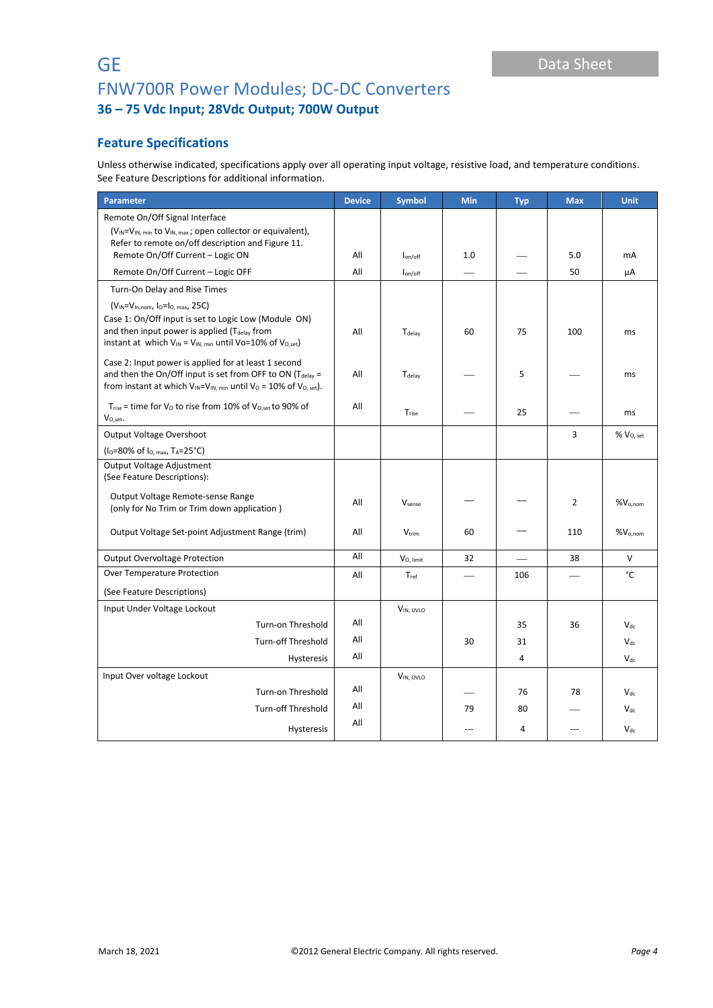# **Feature Specifications**

Unless otherwise indicated, specifications apply over all operating input voltage, resistive load, and temperature conditions. See Feature Descriptions for additional information.

| Parameter                                                                                                                                                                                                     | <b>Device</b> | <b>Symbol</b>     | <b>Min</b> | <b>Typ</b>     | <b>Max</b>               | <b>Unit</b>   |
|---------------------------------------------------------------------------------------------------------------------------------------------------------------------------------------------------------------|---------------|-------------------|------------|----------------|--------------------------|---------------|
| Remote On/Off Signal Interface                                                                                                                                                                                |               |                   |            |                |                          |               |
| $(V_{IN} = V_{IN, min}$ to $V_{IN, max}$ ; open collector or equivalent),<br>Refer to remote on/off description and Figure 11.                                                                                |               |                   |            |                |                          |               |
| Remote On/Off Current - Logic ON                                                                                                                                                                              | All           | $I_{on/off}$      | 1.0        |                | 5.0                      | mA            |
| Remote On/Off Current - Logic OFF                                                                                                                                                                             | All           | $I_{on/off}$      |            |                | 50                       | μA            |
| Turn-On Delay and Rise Times                                                                                                                                                                                  |               |                   |            |                |                          |               |
| $(V_{IN} = V_{In,nom}$ , $I_0 = I_0$ , max, 25C)                                                                                                                                                              |               |                   |            |                |                          |               |
| Case 1: On/Off input is set to Logic Low (Module ON)<br>and then input power is applied $(T_{delay}$ from<br>instant at which $V_{IN} = V_{IN, min}$ until Vo=10% of $V_{O, set}$ )                           | All           | Tdelay            | 60         | 75             | 100                      | ms            |
| Case 2: Input power is applied for at least 1 second<br>and then the On/Off input is set from OFF to ON ( $T_{delay}$ =<br>from instant at which $V_{IN} = V_{IN, min}$ until $V_0 = 10\%$ of $V_{O, set}$ ). | All           | $T_{delay}$       |            | 5              |                          | ms            |
| $T_{rise}$ = time for $V_0$ to rise from 10% of $V_{O,set}$ to 90% of<br>$V_{O,set}$ .                                                                                                                        | All           | $T_{\text{rise}}$ |            | 25             |                          | ms            |
| <b>Output Voltage Overshoot</b>                                                                                                                                                                               |               |                   |            |                | 3                        | $%$ $V0. set$ |
| $(I0=80%$ of $I0. max$ , T <sub>A</sub> =25°C)                                                                                                                                                                |               |                   |            |                |                          |               |
| Output Voltage Adjustment<br>(See Feature Descriptions):                                                                                                                                                      |               |                   |            |                |                          |               |
| Output Voltage Remote-sense Range<br>(only for No Trim or Trim down application)                                                                                                                              | All           | Vsense            |            |                | 2                        | $%V_{o,nom}$  |
| Output Voltage Set-point Adjustment Range (trim)                                                                                                                                                              | All           | $V_{\text{trim}}$ | 60         |                | 110                      | $\%V_{o,nom}$ |
| <b>Output Overvoltage Protection</b>                                                                                                                                                                          | All           | $V_{O, limit}$    | 32         |                | 38                       | $\vee$        |
| Over Temperature Protection                                                                                                                                                                                   | All           | Tref              |            | 106            |                          | °C            |
| (See Feature Descriptions)                                                                                                                                                                                    |               |                   |            |                |                          |               |
| Input Under Voltage Lockout                                                                                                                                                                                   |               | VIN, UVLO         |            |                |                          |               |
| Turn-on Threshold                                                                                                                                                                                             | All           |                   |            | 35             | 36                       | $V_{dc}$      |
| Turn-off Threshold                                                                                                                                                                                            | All           |                   | 30         | 31             |                          | $V_{dc}$      |
| Hysteresis                                                                                                                                                                                                    | All           |                   |            | $\overline{4}$ |                          | $V_{dc}$      |
| Input Over voltage Lockout                                                                                                                                                                                    |               | VIN, OVLO         |            |                |                          |               |
| Turn-on Threshold                                                                                                                                                                                             | All           |                   |            | 76             | 78                       | $V_{dc}$      |
| <b>Turn-off Threshold</b>                                                                                                                                                                                     | All           |                   | 79         | 80             |                          | $V_{dc}$      |
| <b>Hysteresis</b>                                                                                                                                                                                             | All           |                   | $---$      | 4              | $\overline{\phantom{a}}$ | $V_{dc}$      |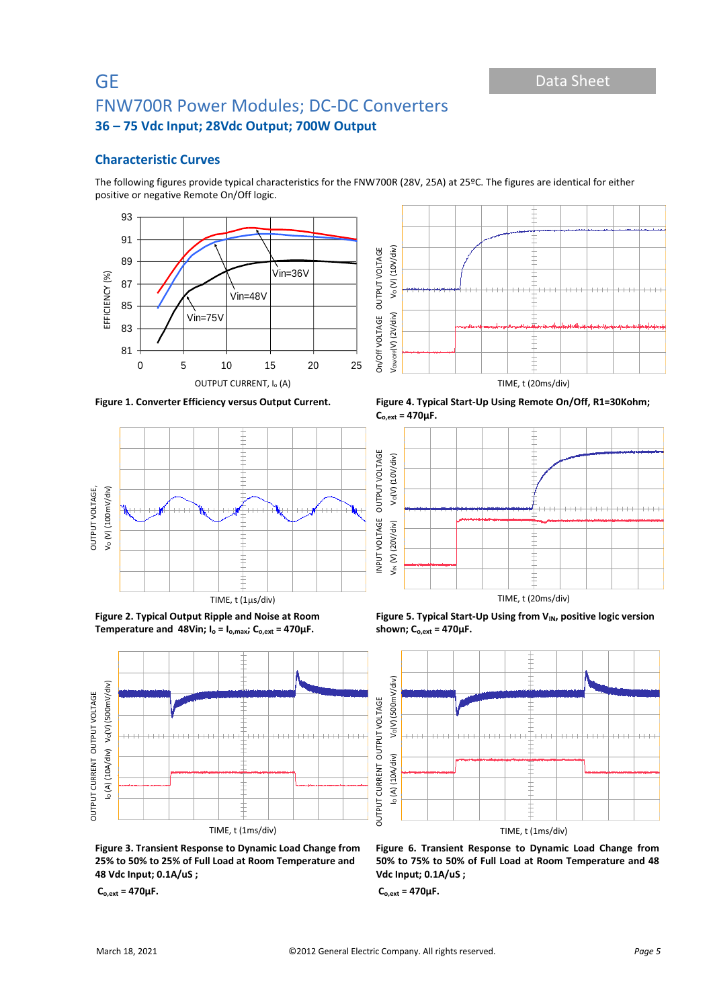# **Characteristic Curves**

The following figures provide typical characteristics for the FNW700R (28V, 25A) at 25ºC. The figures are identical for either positive or negative Remote On/Off logic.









**Figure 2. Typical Output Ripple and Noise at Room Temperature** and 48Vin;  $I_o = I_{o,max}$ ;  $C_{o,ext} = 470 \mu F$ .



**Figure 1. Converter Efficiency versus Output Current. Figure 4. Typical Start-Up Using Remote On/Off, R1=30Kohm; Co,ext = 470µF.**



Figure 5. Typical Start-Up Using from V<sub>IN</sub>, positive logic version



**Figure 3. Transient Response to Dynamic Load Change from 25% to 50% to 25% of Full Load at Room Temperature and 48 Vdc Input; 0.1A/uS ;**

**Co,ext = 470µF.**

**Figure 6. Transient Response to Dynamic Load Change from 50% to 75% to 50% of Full Load at Room Temperature and 48 Vdc Input; 0.1A/uS ;**

**Co,ext = 470µF.**

**shown; Co,ext = 470µF.**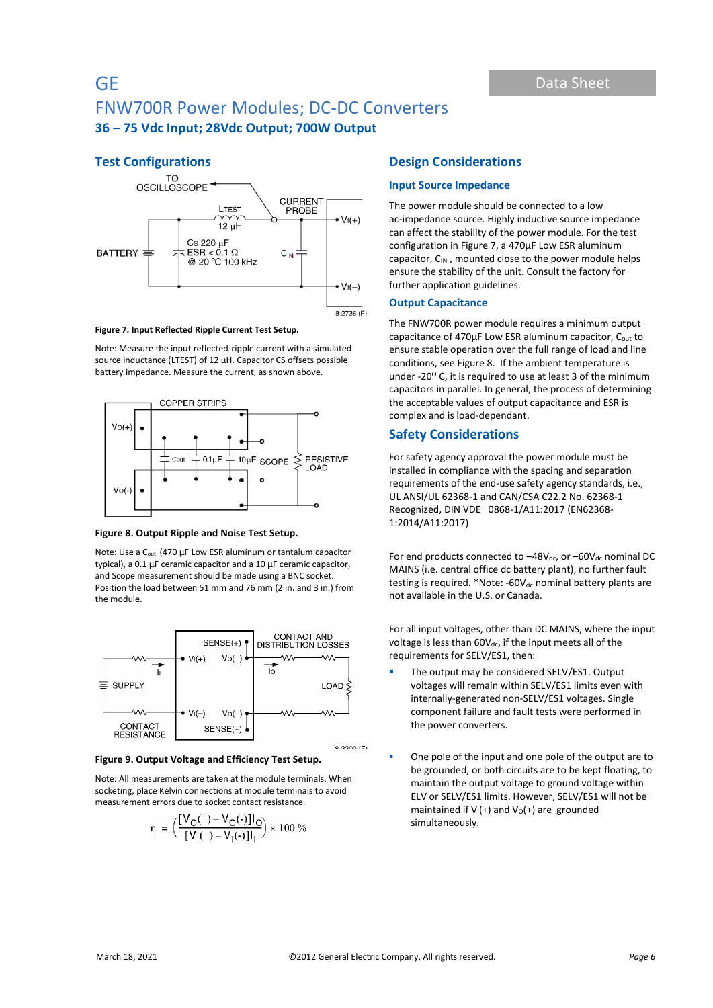# **Test Configurations**



#### **Figure 7. Input Reflected Ripple Current Test Setup.**

Note: Measure the input reflected-ripple current with a simulated source inductance (LTEST) of 12 µH. Capacitor CS offsets possible battery impedance. Measure the current, as shown above.



#### **Figure 8. Output Ripple and Noise Test Setup.**

Note: Use a C<sub>out</sub> (470 µF Low ESR aluminum or tantalum capacitor typical), a 0.1 µF ceramic capacitor and a 10 µF ceramic capacitor, and Scope measurement should be made using a BNC socket. Position the load between 51 mm and 76 mm (2 in. and 3 in.) from the module.



#### **Figure 9. Output Voltage and Efficiency Test Setup.**

Note: All measurements are taken at the module terminals. When socketing, place Kelvin connections at module terminals to avoid measurement errors due to socket contact resistance.

$$
\eta = \Big(\frac{[V_O(+) - V_O(-)]I_O}{[V_I(+) - V_I(-)]I_I}\Big) \times 100\%
$$

## **Design Considerations**

#### **Input Source Impedance**

The power module should be connected to a low ac-impedance source. Highly inductive source impedance can affect the stability of the power module. For the test configuration in Figure 7, a 470μF Low ESR aluminum capacitor,  $C_{IN}$ , mounted close to the power module helps ensure the stability of the unit. Consult the factory for further application guidelines.

#### **Output Capacitance**

The FNW700R power module requires a minimum output capacitance of 470µF Low ESR aluminum capacitor, C<sub>out</sub> to ensure stable operation over the full range of load and line conditions, see Figure 8. If the ambient temperature is under -20 $^{\circ}$  C, it is required to use at least 3 of the minimum capacitors in parallel. In general, the process of determining the acceptable values of output capacitance and ESR is complex and is load-dependant.

## **Safety Considerations**

For safety agency approval the power module must be installed in compliance with the spacing and separation requirements of the end-use safety agency standards, i.e., UL ANSI/UL 62368-1 and CAN/CSA C22.2 No. 62368-1 Recognized, DIN VDE 0868-1/A11:2017 (EN62368- 1:2014/A11:2017)

For end products connected to  $-48V_{dc}$ , or  $-60V_{dc}$  nominal DC MAINS (i.e. central office dc battery plant), no further fault testing is required. \*Note: - $60V_{dc}$  nominal battery plants are not available in the U.S. or Canada.

For all input voltages, other than DC MAINS, where the input voltage is less than  $60V_{dc}$ , if the input meets all of the requirements for SELV/ES1, then:

- The output may be considered SELV/ES1. Output voltages will remain within SELV/ES1 limits even with internally-generated non-SELV/ES1 voltages. Single component failure and fault tests were performed in the power converters.
- One pole of the input and one pole of the output are to be grounded, or both circuits are to be kept floating, to maintain the output voltage to ground voltage within ELV or SELV/ES1 limits. However, SELV/ES1 will not be maintained if  $V_1(+)$  and  $V_0(+)$  are grounded simultaneously.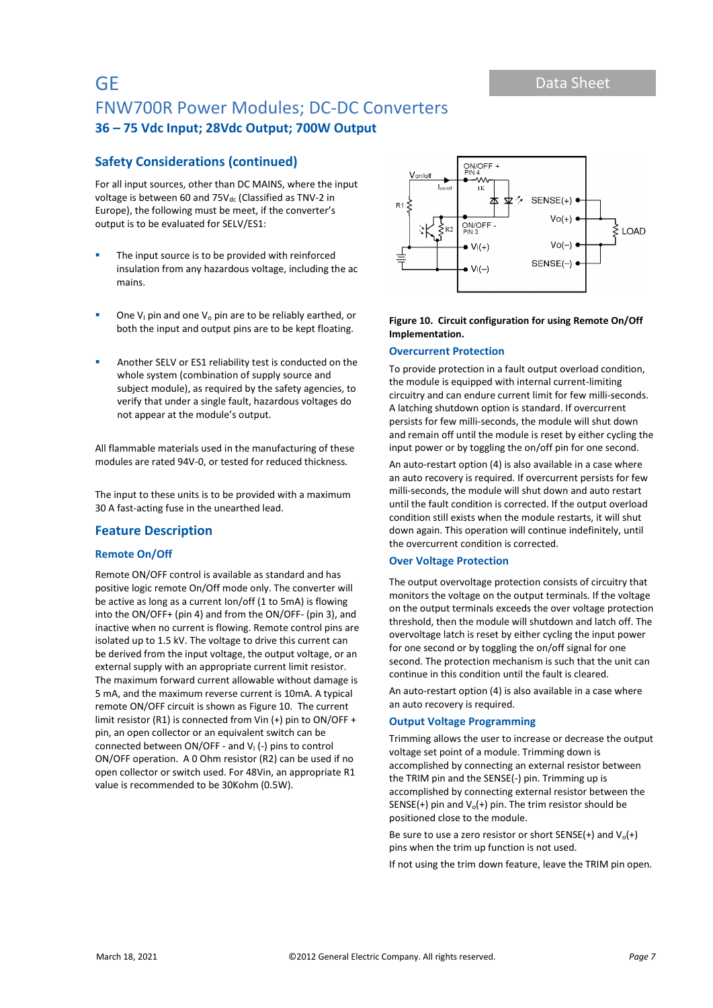# **Safety Considerations (continued)**

For all input sources, other than DC MAINS, where the input voltage is between 60 and 75V<sub>dc</sub> (Classified as TNV-2 in Europe), the following must be meet, if the converter's output is to be evaluated for SELV/ES1:

- The input source is to be provided with reinforced insulation from any hazardous voltage, including the ac mains.
- One  $V_1$  pin and one  $V_0$  pin are to be reliably earthed, or both the input and output pins are to be kept floating.
- Another SELV or ES1 reliability test is conducted on the whole system (combination of supply source and subject module), as required by the safety agencies, to verify that under a single fault, hazardous voltages do not appear at the module's output.

All flammable materials used in the manufacturing of these modules are rated 94V-0, or tested for reduced thickness.

The input to these units is to be provided with a maximum 30 A fast-acting fuse in the unearthed lead.

## **Feature Description**

#### **Remote On/Off**

Remote ON/OFF control is available as standard and has positive logic remote On/Off mode only. The converter will be active as long as a current Ion/off (1 to 5mA) is flowing into the ON/OFF+ (pin 4) and from the ON/OFF- (pin 3), and inactive when no current is flowing. Remote control pins are isolated up to 1.5 kV. The voltage to drive this current can be derived from the input voltage, the output voltage, or an external supply with an appropriate current limit resistor. The maximum forward current allowable without damage is 5 mA, and the maximum reverse current is 10mA. A typical remote ON/OFF circuit is shown as Figure 10. The current limit resistor (R1) is connected from Vin (+) pin to ON/OFF + pin, an open collector or an equivalent switch can be connected between  $ON/OFF$  - and  $V<sub>1</sub>$  (-) pins to control ON/OFF operation. A 0 Ohm resistor (R2) can be used if no open collector or switch used. For 48Vin, an appropriate R1 value is recommended to be 30Kohm (0.5W).



### **Figure 10. Circuit configuration for using Remote On/Off Implementation.**

#### **Overcurrent Protection**

To provide protection in a fault output overload condition, the module is equipped with internal current-limiting circuitry and can endure current limit for few milli-seconds. A latching shutdown option is standard. If overcurrent persists for few milli-seconds, the module will shut down and remain off until the module is reset by either cycling the input power or by toggling the on/off pin for one second.

An auto-restart option (4) is also available in a case where an auto recovery is required. If overcurrent persists for few milli-seconds, the module will shut down and auto restart until the fault condition is corrected. If the output overload condition still exists when the module restarts, it will shut down again. This operation will continue indefinitely, until the overcurrent condition is corrected.

## **Over Voltage Protection**

The output overvoltage protection consists of circuitry that monitors the voltage on the output terminals. If the voltage on the output terminals exceeds the over voltage protection threshold, then the module will shutdown and latch off. The overvoltage latch is reset by either cycling the input power for one second or by toggling the on/off signal for one second. The protection mechanism is such that the unit can continue in this condition until the fault is cleared.

An auto-restart option (4) is also available in a case where an auto recovery is required.

#### **Output Voltage Programming**

Trimming allows the user to increase or decrease the output voltage set point of a module. Trimming down is accomplished by connecting an external resistor between the TRIM pin and the SENSE(-) pin. Trimming up is accomplished by connecting external resistor between the SENSE(+) pin and  $V_0$ (+) pin. The trim resistor should be positioned close to the module.

Be sure to use a zero resistor or short SENSE(+) and  $V_0(+)$ pins when the trim up function is not used.

If not using the trim down feature, leave the TRIM pin open.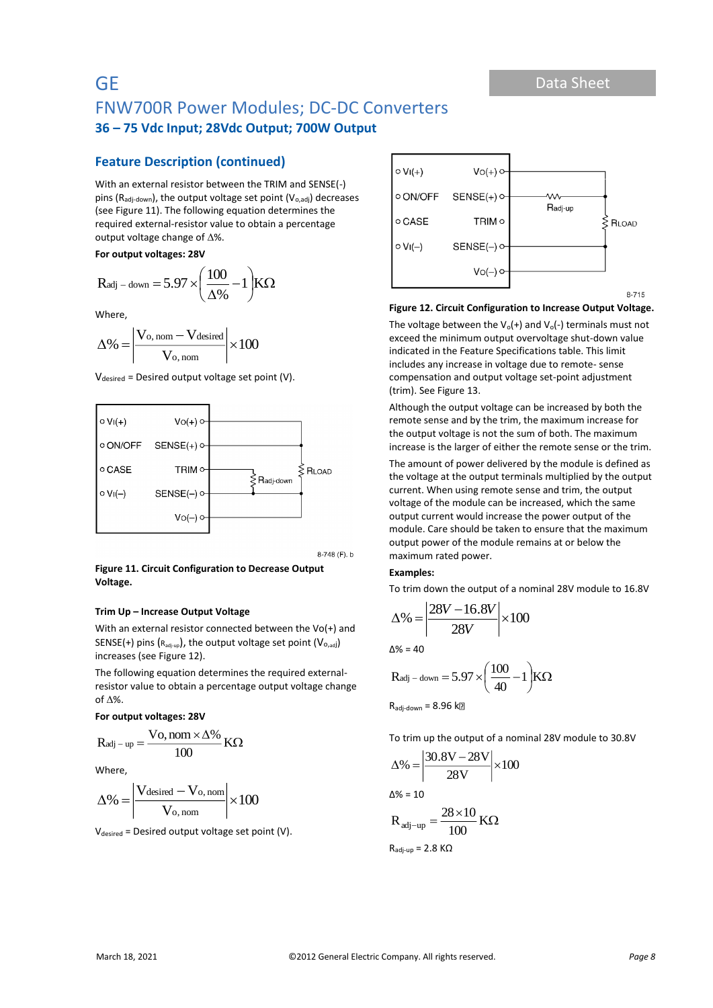# **Feature Description (continued)**

With an external resistor between the TRIM and SENSE(-) pins ( $R_{\text{adj-down}}$ ), the output voltage set point ( $V_{\text{o},\text{adj}}$ ) decreases (see Figure 11). The following equation determines the required external-resistor value to obtain a percentage output voltage change of  $\Delta$ %.

**For output voltages: 28V**

$$
R_{adj-down} = 5.97 \times \left(\frac{100}{\Delta\%} - 1\right) \! K\Omega
$$

Where,

$$
\Delta\% = \left| \frac{V_{o,\,nom} - V_{desired}}{V_{o,\,nom}} \right| \times 100
$$

 $V_{\text{desired}}$  = Desired output voltage set point (V).



8-748 (F). b

### **Figure 11. Circuit Configuration to Decrease Output Voltage.**

## **Trim Up – Increase Output Voltage**

With an external resistor connected between the Vo(+) and SENSE(+) pins  $(R_{adj-up})$ , the output voltage set point  $(V_{O,adj})$ increases (see Figure 12).

The following equation determines the required externalresistor value to obtain a percentage output voltage change of  $\Lambda$ %.

#### **For output voltages: 28V**

$$
R_{adj-up} = \frac{Vo, nom \times \Delta\%}{100} K\Omega
$$

Where,

$$
\Delta\%=\left|\frac{V_{desired}-V_{o,\,nom}}{V_{o,\,nom}}\right|\times100
$$

 $V_{desired}$  = Desired output voltage set point (V).



#### **Figure 12. Circuit Configuration to Increase Output Voltage.**

The voltage between the  $V_0(+)$  and  $V_0(-)$  terminals must not exceed the minimum output overvoltage shut-down value indicated in the Feature Specifications table. This limit includes any increase in voltage due to remote- sense compensation and output voltage set-point adjustment (trim). See Figure 13.

Although the output voltage can be increased by both the remote sense and by the trim, the maximum increase for the output voltage is not the sum of both. The maximum increase is the larger of either the remote sense or the trim.

The amount of power delivered by the module is defined as the voltage at the output terminals multiplied by the output current. When using remote sense and trim, the output voltage of the module can be increased, which the same output current would increase the power output of the module. Care should be taken to ensure that the maximum output power of the module remains at or below the maximum rated power.

#### **Examples:**

To trim down the output of a nominal 28V module to 16.8V

$$
\Delta\% = \left| \frac{28V - 16.8V}{28V} \right| \times 100
$$

 $\Delta\% = 40$ 

$$
R_{adj-down} = 5.97 \times \left(\frac{100}{40} - 1\right) K\Omega
$$

 $R_{\text{adj-down}} = 8.96$  k $\Box$ 

To trim up the output of a nominal 28V module to 30.8V

$$
\Delta\% = \left| \frac{30.8V - 28V}{28V} \right| \times 100
$$

$$
\Delta\% = 10
$$

$$
R_{\text{adj-up}} = \frac{28 \times 10}{100} \text{ K}\Omega
$$

$$
R_{\text{adj-up}} = 2.8 \text{ K}\Omega
$$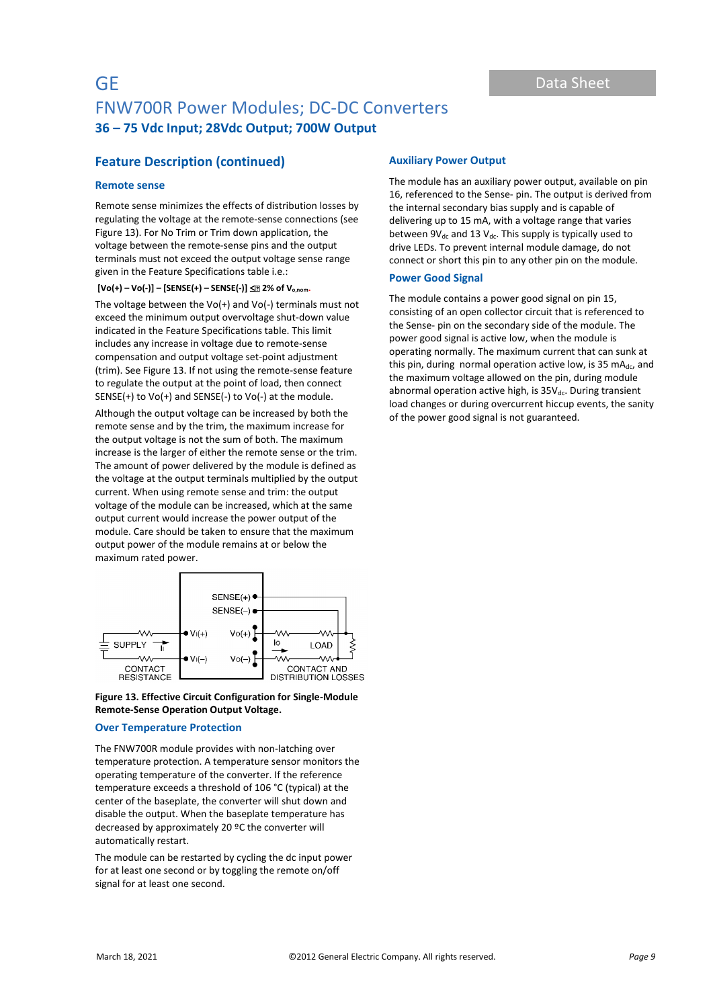# **Feature Description (continued)**

## **Remote sense**

Remote sense minimizes the effects of distribution losses by regulating the voltage at the remote-sense connections (see Figure 13). For No Trim or Trim down application, the voltage between the remote-sense pins and the output terminals must not exceed the output voltage sense range given in the Feature Specifications table i.e.:

**[Vo(+) – Vo(-)] – [SENSE(+) – SENSE(-)] 2% of Vo,nom.**

The voltage between the  $Vo(+)$  and  $Vo(-)$  terminals must not exceed the minimum output overvoltage shut-down value indicated in the Feature Specifications table. This limit includes any increase in voltage due to remote-sense compensation and output voltage set-point adjustment (trim). See Figure 13. If not using the remote-sense feature to regulate the output at the point of load, then connect SENSE(+) to Vo(+) and SENSE(-) to Vo(-) at the module.

Although the output voltage can be increased by both the remote sense and by the trim, the maximum increase for the output voltage is not the sum of both. The maximum increase is the larger of either the remote sense or the trim. The amount of power delivered by the module is defined as the voltage at the output terminals multiplied by the output current. When using remote sense and trim: the output voltage of the module can be increased, which at the same output current would increase the power output of the module. Care should be taken to ensure that the maximum output power of the module remains at or below the maximum rated power.



## **Figure 13. Effective Circuit Configuration for Single-Module Remote-Sense Operation Output Voltage.**

#### **Over Temperature Protection**

The FNW700R module provides with non-latching over temperature protection. A temperature sensor monitors the operating temperature of the converter. If the reference temperature exceeds a threshold of 106 °C (typical) at the center of the baseplate, the converter will shut down and disable the output. When the baseplate temperature has decreased by approximately 20 ºC the converter will automatically restart.

The module can be restarted by cycling the dc input power for at least one second or by toggling the remote on/off signal for at least one second.

## **Auxiliary Power Output**

The module has an auxiliary power output, available on pin 16, referenced to the Sense- pin. The output is derived from the internal secondary bias supply and is capable of delivering up to 15 mA, with a voltage range that varies between  $9V_{dc}$  and 13  $V_{dc}$ . This supply is typically used to drive LEDs. To prevent internal module damage, do not connect or short this pin to any other pin on the module.

#### **Power Good Signal**

The module contains a power good signal on pin 15, consisting of an open collector circuit that is referenced to the Sense- pin on the secondary side of the module. The power good signal is active low, when the module is operating normally. The maximum current that can sunk at this pin, during normal operation active low, is 35 mA $_{dc}$ , and the maximum voltage allowed on the pin, during module abnormal operation active high, is  $35V_{dc}$ . During transient load changes or during overcurrent hiccup events, the sanity of the power good signal is not guaranteed.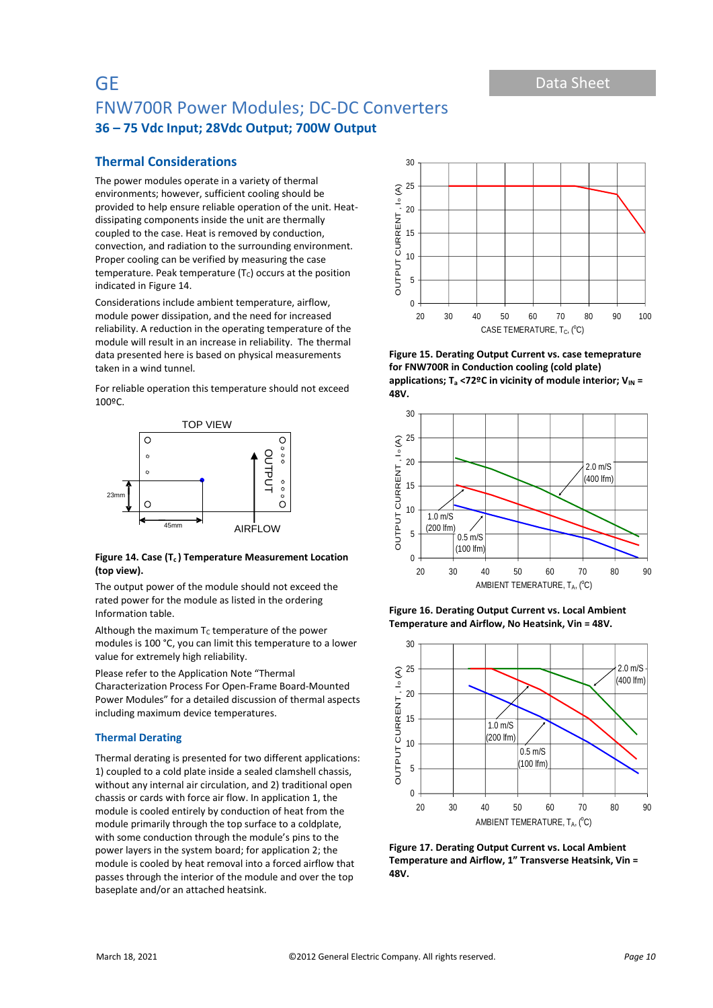# **Thermal Considerations**

The power modules operate in a variety of thermal environments; however, sufficient cooling should be provided to help ensure reliable operation of the unit. Heatdissipating components inside the unit are thermally coupled to the case. Heat is removed by conduction, convection, and radiation to the surrounding environment. Proper cooling can be verified by measuring the case temperature. Peak temperature  $(T<sub>C</sub>)$  occurs at the position indicated in Figure 14.

Considerations include ambient temperature, airflow, module power dissipation, and the need for increased reliability. A reduction in the operating temperature of the module will result in an increase in reliability. The thermal data presented here is based on physical measurements taken in a wind tunnel.

For reliable operation this temperature should not exceed 100ºC.



#### **Figure 14. Case (Tc ) Temperature Measurement Location (top view).**

The output power of the module should not exceed the rated power for the module as listed in the ordering Information table.

Although the maximum  $T_c$  temperature of the power modules is 100 °C, you can limit this temperature to a lower value for extremely high reliability.

Please refer to the Application Note "Thermal Characterization Process For Open-Frame Board-Mounted Power Modules" for a detailed discussion of thermal aspects including maximum device temperatures.

## **Thermal Derating**

Thermal derating is presented for two different applications: 1) coupled to a cold plate inside a sealed clamshell chassis, without any internal air circulation, and 2) traditional open chassis or cards with force air flow. In application 1, the module is cooled entirely by conduction of heat from the module primarily through the top surface to a coldplate, with some conduction through the module's pins to the power layers in the system board; for application 2; the module is cooled by heat removal into a forced airflow that passes through the interior of the module and over the top baseplate and/or an attached heatsink.



**Figure 15. Derating Output Current vs. case temeprature for FNW700R in Conduction cooling (cold plate)**  applications; T<sub>a</sub> <72°C in vicinity of module interior; V<sub>IN</sub> = **48V.**



**Figure 16. Derating Output Current vs. Local Ambient Temperature and Airflow, No Heatsink, Vin = 48V.**



**Figure 17. Derating Output Current vs. Local Ambient Temperature and Airflow, 1" Transverse Heatsink, Vin = 48V.**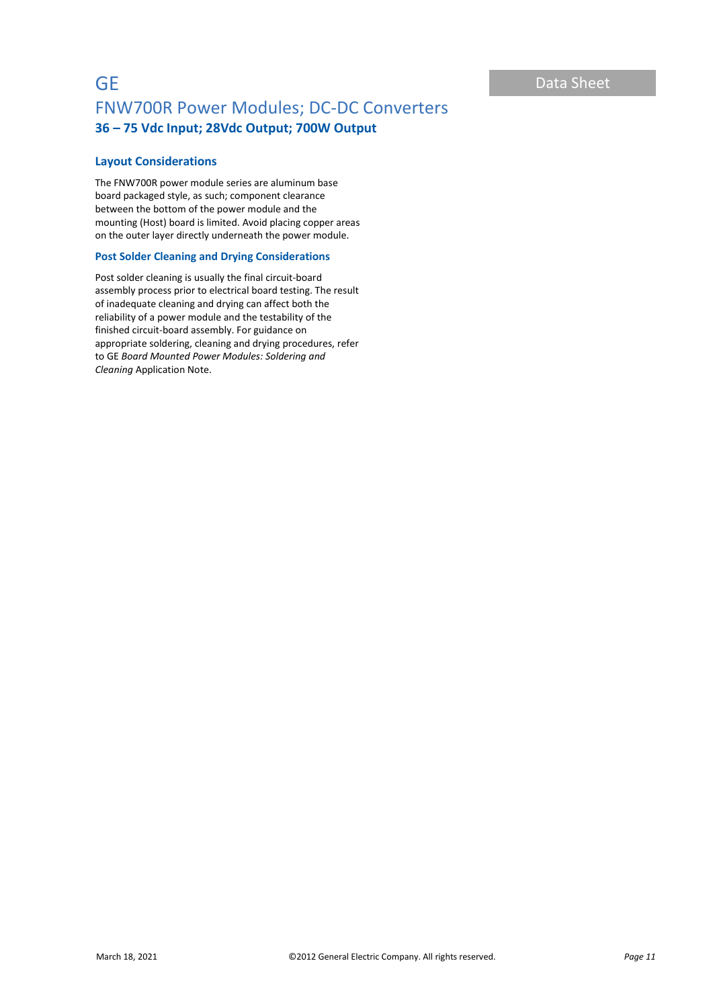## **Layout Considerations**

The FNW700R power module series are aluminum base board packaged style, as such; component clearance between the bottom of the power module and the mounting (Host) board is limited. Avoid placing copper areas on the outer layer directly underneath the power module.

## **Post Solder Cleaning and Drying Considerations**

Post solder cleaning is usually the final circuit-board assembly process prior to electrical board testing. The result of inadequate cleaning and drying can affect both the reliability of a power module and the testability of the finished circuit-board assembly. For guidance on appropriate soldering, cleaning and drying procedures, refer to GE *Board Mounted Power Modules: Soldering and Cleaning* Application Note.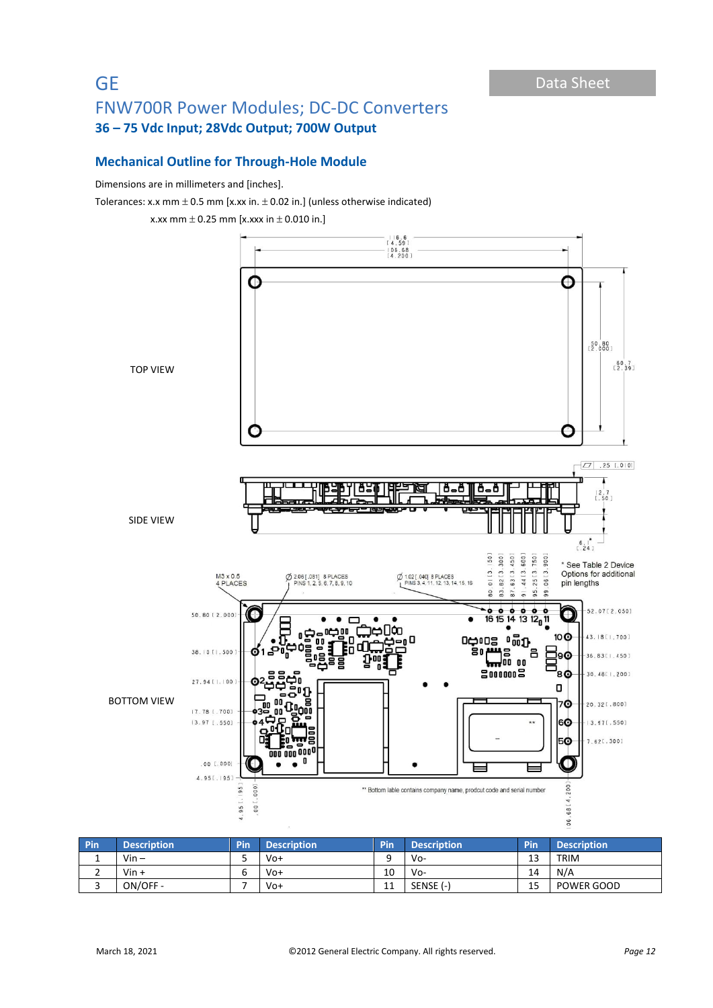# **Mechanical Outline for Through-Hole Module**

## Dimensions are in millimeters and [inches].

Tolerances: x.x mm  $\pm$  0.5 mm [x.xx in.  $\pm$  0.02 in.] (unless otherwise indicated)



| <b>Pin</b> | Description' | <b>Pin</b> | <b>Description</b> | Pin      | <b>Description</b> | Pin | <b>Description</b> |
|------------|--------------|------------|--------------------|----------|--------------------|-----|--------------------|
|            | $V$ in $-$   |            | $V_0+$             |          | Vo-                | 13  | <b>TRIM</b>        |
|            | $V$ in +     |            | $V_0+$             | 10       | Vo-                | 14  | N/A                |
| ٮ          | ON/OFF -     |            | $V_0+$             | 11<br>ᆠᆠ | SENSE (-)          | 15  | <b>POWER GOOD</b>  |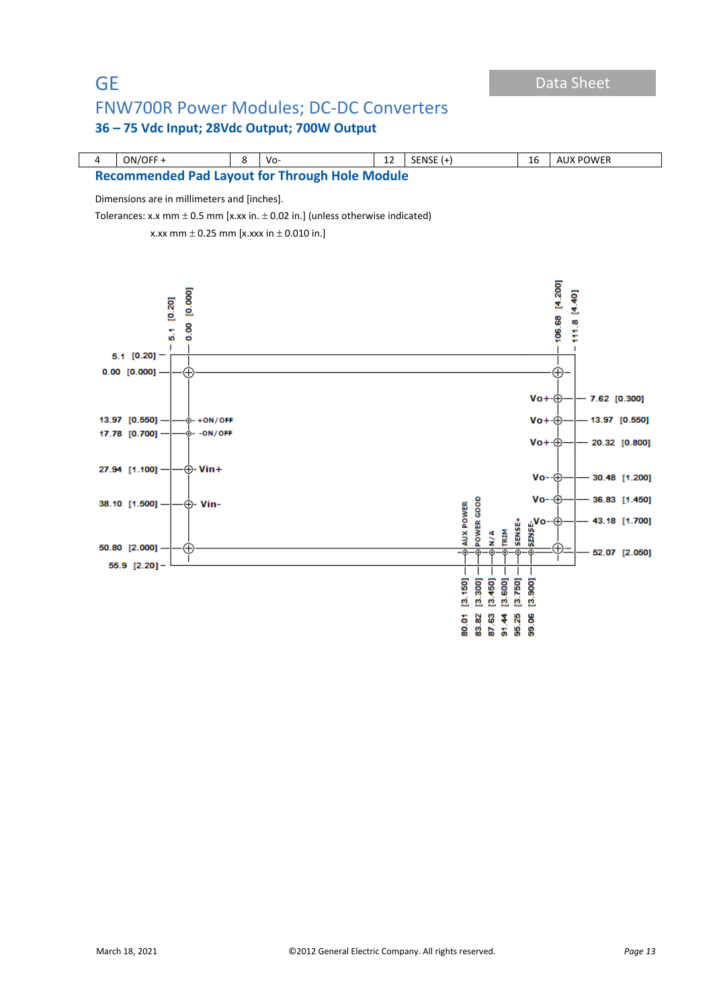